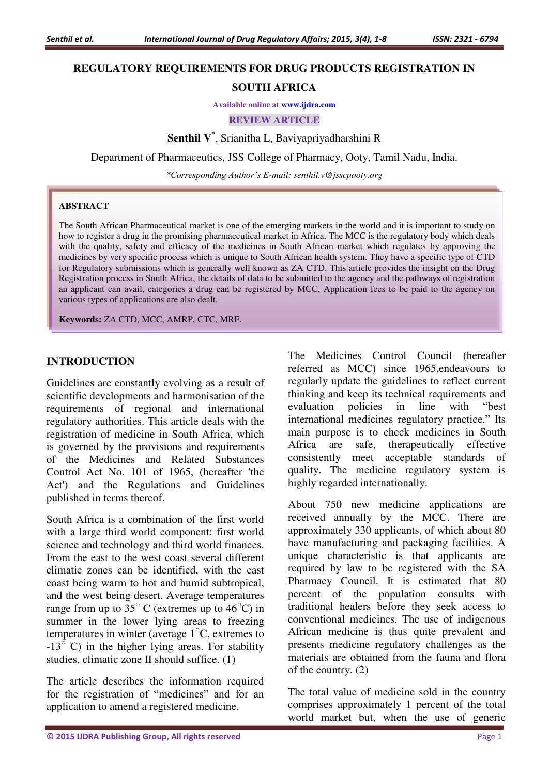### **REGULATORY REQUIREMENTS FOR DRUG PRODUCTS REGISTRATION IN**

### **SOUTH AFRICA**

**Available online at [www.ijdra.com](http://www.ijdra.com/)**

**REVIEW ARTICLE** 

**Senthil V\*** , Srianitha L, Baviyapriyadharshini R

Department of Pharmaceutics, JSS College of Pharmacy, Ooty, Tamil Nadu, India.

*\*Corresponding Author's E-mail: senthil.v@jsscpooty.org* 

#### **ABSTRACT**

The South African Pharmaceutical market is one of the emerging markets in the world and it is important to study on how to register a drug in the promising pharmaceutical market in Africa. The MCC is the regulatory body which deals with the quality, safety and efficacy of the medicines in South African market which regulates by approving the medicines by very specific process which is unique to South African health system. They have a specific type of CTD for Regulatory submissions which is generally well known as ZA CTD. This article provides the insight on the Drug Registration process in South Africa, the details of data to be submitted to the agency and the pathways of registration an applicant can avail, categories a drug can be registered by MCC, Application fees to be paid to the agency on various types of applications are also dealt.

**Keywords:** ZA CTD, MCC, AMRP, CTC, MRF.

## **INTRODUCTION**

Guidelines are constantly evolving as a result of scientific developments and harmonisation of the requirements of regional and international regulatory authorities. This article deals with the registration of medicine in South Africa, which is governed by the provisions and requirements of the Medicines and Related Substances Control Act No. 101 of 1965, (hereafter 'the Act') and the Regulations and Guidelines published in terms thereof.

South Africa is a combination of the first world with a large third world component: first world science and technology and third world finances. From the east to the west coast several different climatic zones can be identified, with the east coast being warm to hot and humid subtropical, and the west being desert. Average temperatures range from up to  $35^{\circ}$  C (extremes up to  $46^{\circ}$ C) in summer in the lower lying areas to freezing temperatures in winter (average  $1^{\circ}$ C, extremes to  $-13^{\circ}$  C) in the higher lying areas. For stability studies, climatic zone II should suffice. (1)

The article describes the information required for the registration of "medicines" and for an application to amend a registered medicine.

The Medicines Control Council (hereafter referred as MCC) since 1965,endeavours to regularly update the guidelines to reflect current thinking and keep its technical requirements and evaluation policies in line with "best international medicines regulatory practice." Its main purpose is to check medicines in South Africa are safe, therapeutically effective consistently meet acceptable standards of quality. The medicine regulatory system is highly regarded internationally.

About 750 new medicine applications are received annually by the MCC. There are approximately 330 applicants, of which about 80 have manufacturing and packaging facilities. A unique characteristic is that applicants are required by law to be registered with the SA Pharmacy Council. It is estimated that 80 percent of the population consults with traditional healers before they seek access to conventional medicines. The use of indigenous African medicine is thus quite prevalent and presents medicine regulatory challenges as the materials are obtained from the fauna and flora of the country. (2)

The total value of medicine sold in the country comprises approximately 1 percent of the total world market but, when the use of generic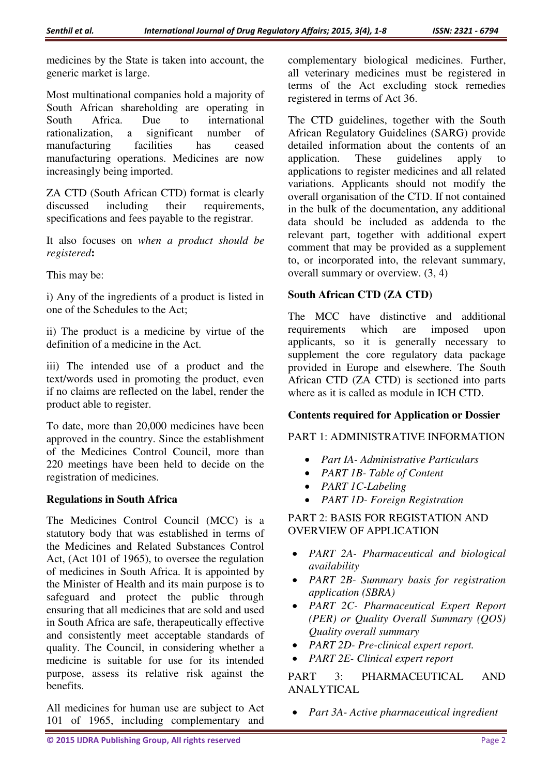medicines by the State is taken into account, the generic market is large.

Most multinational companies hold a majority of South African shareholding are operating in<br>South Africa. Due to international South Africa. Due to international rationalization, a significant number of manufacturing facilities has ceased manufacturing operations. Medicines are now increasingly being imported.

ZA CTD (South African CTD) format is clearly discussed including their requirements, specifications and fees payable to the registrar.

It also focuses on *when a product should be registered***:** 

This may be:

i) Any of the ingredients of a product is listed in one of the Schedules to the Act;

ii) The product is a medicine by virtue of the definition of a medicine in the Act.

iii) The intended use of a product and the text/words used in promoting the product, even if no claims are reflected on the label, render the product able to register.

To date, more than 20,000 medicines have been approved in the country. Since the establishment of the Medicines Control Council, more than 220 meetings have been held to decide on the registration of medicines.

# **Regulations in South Africa**

The Medicines Control Council (MCC) is a statutory body that was established in terms of the Medicines and Related Substances Control Act, (Act 101 of 1965), to oversee the regulation of medicines in South Africa. It is appointed by the Minister of Health and its main purpose is to safeguard and protect the public through ensuring that all medicines that are sold and used in South Africa are safe, therapeutically effective and consistently meet acceptable standards of quality. The Council, in considering whether a medicine is suitable for use for its intended purpose, assess its relative risk against the benefits.

All medicines for human use are subject to Act 101 of 1965, including complementary and

complementary biological medicines. Further, all veterinary medicines must be registered in terms of the Act excluding stock remedies registered in terms of Act 36.

The CTD guidelines, together with the South African Regulatory Guidelines (SARG) provide detailed information about the contents of an application. These guidelines apply to applications to register medicines and all related variations. Applicants should not modify the overall organisation of the CTD. If not contained in the bulk of the documentation, any additional data should be included as addenda to the relevant part, together with additional expert comment that may be provided as a supplement to, or incorporated into, the relevant summary, overall summary or overview. (3, 4)

## **South African CTD (ZA CTD)**

The MCC have distinctive and additional<br>requirements which are imposed upon requirements which are imposed upon applicants, so it is generally necessary to supplement the core regulatory data package provided in Europe and elsewhere. The South African CTD (ZA CTD) is sectioned into parts where as it is called as module in ICH CTD.

# **Contents required for Application or Dossier**

PART 1: ADMINISTRATIVE INFORMATION

- *Part IA- Administrative Particulars*
- *PART 1B- Table of Content*
- *PART 1C-Labeling*
- *PART 1D- Foreign Registration*

PART 2: BASIS FOR REGISTATION AND OVERVIEW OF APPLICATION

- *PART 2A- Pharmaceutical and biological availability*
- *PART 2B- Summary basis for registration application (SBRA)*
- *PART 2C- Pharmaceutical Expert Report (PER) or Quality Overall Summary (QOS) Quality overall summary*
- *PART 2D- Pre-clinical expert report.*
- *PART 2E- Clinical expert report*

PART 3: PHARMACEUTICAL AND ANALYTICAL

*Part 3A- Active pharmaceutical ingredient*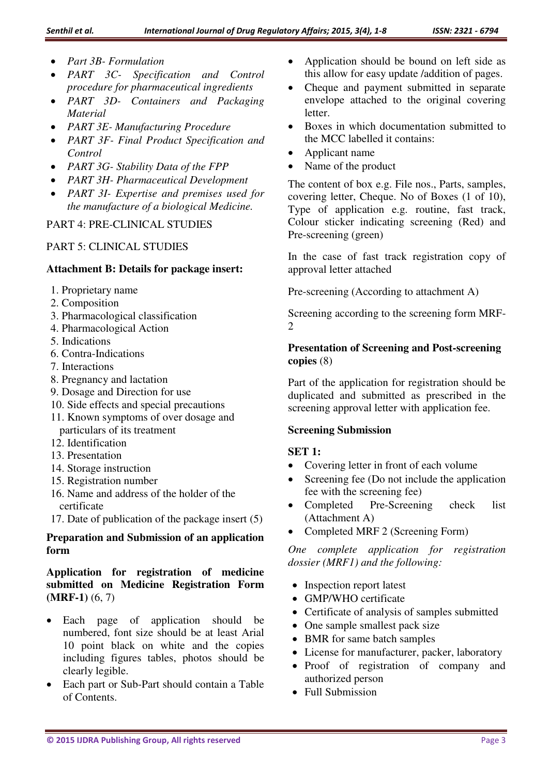- *Part 3B- Formulation*
- *PART 3C- Specification and Control procedure for pharmaceutical ingredients*
- *PART 3D- Containers and Packaging Material*
- *PART 3E- Manufacturing Procedure*
- *PART 3F- Final Product Specification and Control*
- *PART 3G- Stability Data of the FPP*
- *PART 3H- Pharmaceutical Development*
- *PART 3I- Expertise and premises used for the manufacture of a biological Medicine.*

PART 4: PRE-CLINICAL STUDIES

## PART 5: CLINICAL STUDIES

### **Attachment B: Details for package insert:**

- 1. Proprietary name
- 2. Composition
- 3. Pharmacological classification
- 4. Pharmacological Action
- 5. Indications
- 6. Contra-Indications
- 7. Interactions
- 8. Pregnancy and lactation
- 9. Dosage and Direction for use
- 10. Side effects and special precautions
- 11. Known symptoms of over dosage and particulars of its treatment
- 12. Identification
- 13. Presentation
- 14. Storage instruction
- 15. Registration number
- 16. Name and address of the holder of the certificate
- 17. Date of publication of the package insert (5)

# **Preparation and Submission of an application form**

# **Application for registration of medicine submitted on Medicine Registration Form (MRF-1)** (6, 7)

- Each page of application should be numbered, font size should be at least Arial 10 point black on white and the copies including figures tables, photos should be clearly legible.
- Each part or Sub-Part should contain a Table of Contents.
- Application should be bound on left side as this allow for easy update /addition of pages.
- Cheque and payment submitted in separate envelope attached to the original covering letter.
- Boxes in which documentation submitted to the MCC labelled it contains:
- Applicant name
- Name of the product

The content of box e.g. File nos., Parts, samples, covering letter, Cheque. No of Boxes (1 of 10), Type of application e.g. routine, fast track, Colour sticker indicating screening (Red) and Pre-screening (green)

In the case of fast track registration copy of approval letter attached

Pre-screening (According to attachment A)

Screening according to the screening form MRF-2

## **Presentation of Screening and Post-screening copies** (8)

Part of the application for registration should be duplicated and submitted as prescribed in the screening approval letter with application fee.

### **Screening Submission**

# **SET 1:**

- Covering letter in front of each volume
- Screening fee (Do not include the application fee with the screening fee)
- Completed Pre-Screening check list (Attachment A)
- Completed MRF 2 (Screening Form)

*One complete application for registration dossier (MRF1) and the following:* 

- Inspection report latest
- GMP/WHO certificate
- Certificate of analysis of samples submitted
- One sample smallest pack size
- BMR for same batch samples
- License for manufacturer, packer, laboratory
- Proof of registration of company and authorized person
- Full Submission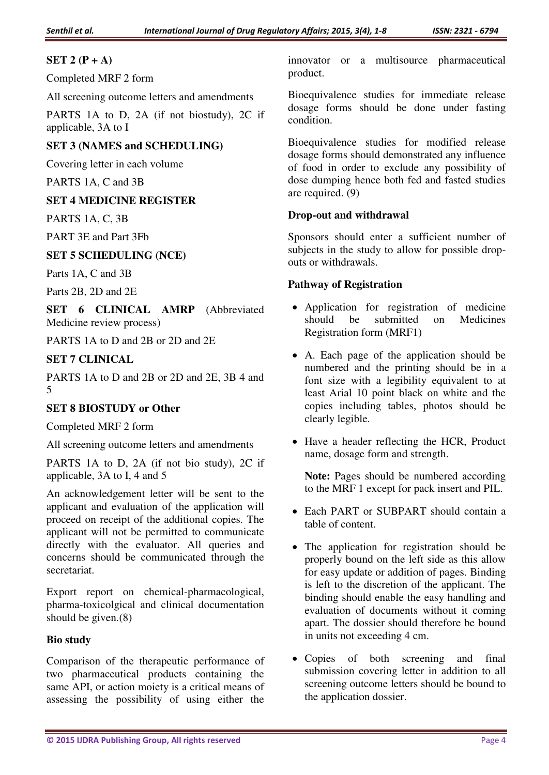# **SET 2 (P + A)**

Completed MRF 2 form

All screening outcome letters and amendments

PARTS 1A to D, 2A (if not biostudy), 2C if applicable, 3A to I

# **SET 3 (NAMES and SCHEDULING)**

Covering letter in each volume

PARTS 1A, C and 3B

# **SET 4 MEDICINE REGISTER**

PARTS 1A, C, 3B

PART 3E and Part 3Fb

## **SET 5 SCHEDULING (NCE)**

Parts 1A, C and 3B

Parts 2B, 2D and 2E

**SET 6 CLINICAL AMRP** (Abbreviated Medicine review process)

PARTS 1A to D and 2B or 2D and 2E

# **SET 7 CLINICAL**

PARTS 1A to D and 2B or 2D and 2E, 3B 4 and 5

# **SET 8 BIOSTUDY or Other**

Completed MRF 2 form

All screening outcome letters and amendments

PARTS 1A to D, 2A (if not bio study), 2C if applicable, 3A to I, 4 and 5

An acknowledgement letter will be sent to the applicant and evaluation of the application will proceed on receipt of the additional copies. The applicant will not be permitted to communicate directly with the evaluator. All queries and concerns should be communicated through the secretariat.

Export report on chemical-pharmacological, pharma-toxicolgical and clinical documentation should be given.(8)

### **Bio study**

Comparison of the therapeutic performance of two pharmaceutical products containing the same API, or action moiety is a critical means of assessing the possibility of using either the

innovator or a multisource pharmaceutical product.

Bioequivalence studies for immediate release dosage forms should be done under fasting condition.

Bioequivalence studies for modified release dosage forms should demonstrated any influence of food in order to exclude any possibility of dose dumping hence both fed and fasted studies are required. (9)

## **Drop-out and withdrawal**

Sponsors should enter a sufficient number of subjects in the study to allow for possible dropouts or withdrawals.

## **Pathway of Registration**

- Application for registration of medicine should be submitted on Medicines Registration form (MRF1)
- A. Each page of the application should be numbered and the printing should be in a font size with a legibility equivalent to at least Arial 10 point black on white and the copies including tables, photos should be clearly legible.
- Have a header reflecting the HCR, Product name, dosage form and strength.

**Note:** Pages should be numbered according to the MRF 1 except for pack insert and PIL.

- Each PART or SUBPART should contain a table of content.
- The application for registration should be properly bound on the left side as this allow for easy update or addition of pages. Binding is left to the discretion of the applicant. The binding should enable the easy handling and evaluation of documents without it coming apart. The dossier should therefore be bound in units not exceeding 4 cm.
- Copies of both screening and final submission covering letter in addition to all screening outcome letters should be bound to the application dossier.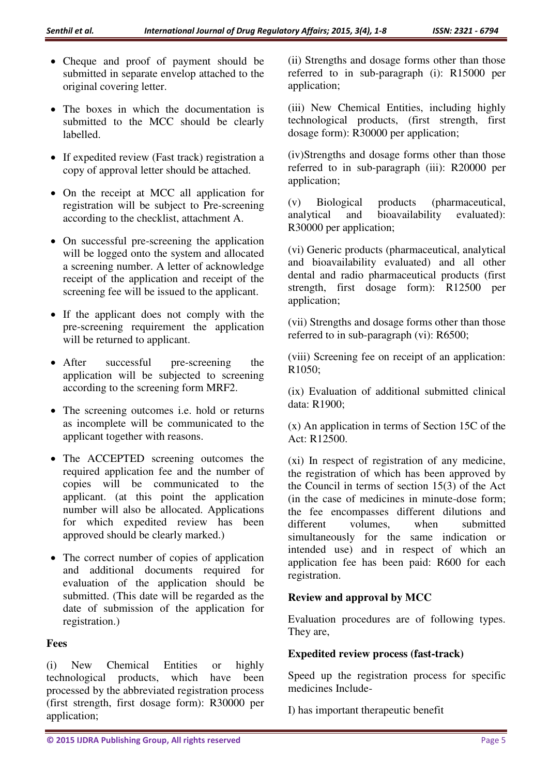- Cheque and proof of payment should be submitted in separate envelop attached to the original covering letter.
- The boxes in which the documentation is submitted to the MCC should be clearly labelled.
- If expedited review (Fast track) registration a copy of approval letter should be attached.
- On the receipt at MCC all application for registration will be subject to Pre-screening according to the checklist, attachment A.
- On successful pre-screening the application will be logged onto the system and allocated a screening number. A letter of acknowledge receipt of the application and receipt of the screening fee will be issued to the applicant.
- If the applicant does not comply with the pre-screening requirement the application will be returned to applicant.
- After successful pre-screening the application will be subjected to screening according to the screening form MRF2.
- The screening outcomes i.e. hold or returns as incomplete will be communicated to the applicant together with reasons.
- The ACCEPTED screening outcomes the required application fee and the number of copies will be communicated to the applicant. (at this point the application number will also be allocated. Applications for which expedited review has been approved should be clearly marked.)
- The correct number of copies of application and additional documents required for evaluation of the application should be submitted. (This date will be regarded as the date of submission of the application for registration.)

### **Fees**

(i) New Chemical Entities or highly technological products, which have been processed by the abbreviated registration process (first strength, first dosage form): R30000 per application;

(ii) Strengths and dosage forms other than those referred to in sub-paragraph (i): R15000 per application;

(iii) New Chemical Entities, including highly technological products, (first strength, first dosage form): R30000 per application;

(iv)Strengths and dosage forms other than those referred to in sub-paragraph (iii): R20000 per application;

(v) Biological products (pharmaceutical, analytical and bioavailability evaluated): R30000 per application;

(vi) Generic products (pharmaceutical, analytical and bioavailability evaluated) and all other dental and radio pharmaceutical products (first strength, first dosage form): R12500 per application;

(vii) Strengths and dosage forms other than those referred to in sub-paragraph (vi): R6500;

(viii) Screening fee on receipt of an application: R1050;

(ix) Evaluation of additional submitted clinical data: R1900;

(x) An application in terms of Section 15C of the Act: R12500.

(xi) In respect of registration of any medicine, the registration of which has been approved by the Council in terms of section 15(3) of the Act (in the case of medicines in minute-dose form; the fee encompasses different dilutions and different volumes, when submitted simultaneously for the same indication or intended use) and in respect of which an application fee has been paid: R600 for each registration.

## **Review and approval by MCC**

Evaluation procedures are of following types. They are,

#### **Expedited review process (fast-track)**

Speed up the registration process for specific medicines Include-

I) has important therapeutic benefit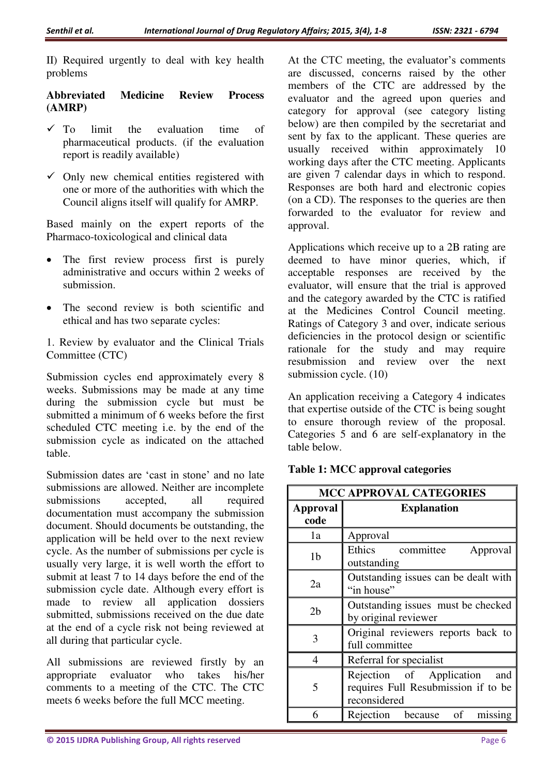II) Required urgently to deal with key health problems

## **Abbreviated Medicine Review Process (AMRP)**

- $\checkmark$  To limit the evaluation time of pharmaceutical products. (if the evaluation report is readily available)
- $\checkmark$  Only new chemical entities registered with one or more of the authorities with which the Council aligns itself will qualify for AMRP.

Based mainly on the expert reports of the Pharmaco-toxicological and clinical data

- The first review process first is purely administrative and occurs within 2 weeks of submission.
- The second review is both scientific and ethical and has two separate cycles:

1. Review by evaluator and the Clinical Trials Committee (CTC)

Submission cycles end approximately every 8 weeks. Submissions may be made at any time during the submission cycle but must be submitted a minimum of 6 weeks before the first scheduled CTC meeting i.e. by the end of the submission cycle as indicated on the attached table.

Submission dates are 'cast in stone' and no late submissions are allowed. Neither are incomplete submissions accepted, all required documentation must accompany the submission document. Should documents be outstanding, the application will be held over to the next review cycle. As the number of submissions per cycle is usually very large, it is well worth the effort to submit at least 7 to 14 days before the end of the submission cycle date. Although every effort is made to review all application dossiers submitted, submissions received on the due date at the end of a cycle risk not being reviewed at all during that particular cycle.

All submissions are reviewed firstly by an appropriate evaluator who takes his/her comments to a meeting of the CTC. The CTC meets 6 weeks before the full MCC meeting.

At the CTC meeting, the evaluator's comments are discussed, concerns raised by the other members of the CTC are addressed by the evaluator and the agreed upon queries and category for approval (see category listing below) are then compiled by the secretariat and sent by fax to the applicant. These queries are usually received within approximately 10 working days after the CTC meeting. Applicants are given 7 calendar days in which to respond. Responses are both hard and electronic copies (on a CD). The responses to the queries are then forwarded to the evaluator for review and approval.

Applications which receive up to a 2B rating are deemed to have minor queries, which, if acceptable responses are received by the evaluator, will ensure that the trial is approved and the category awarded by the CTC is ratified at the Medicines Control Council meeting. Ratings of Category 3 and over, indicate serious deficiencies in the protocol design or scientific rationale for the study and may require resubmission and review over the next submission cycle. (10)

An application receiving a Category 4 indicates that expertise outside of the CTC is being sought to ensure thorough review of the proposal. Categories 5 and 6 are self-explanatory in the table below.

| <b>MCC APPROVAL CATEGORIES</b> |                                                                                     |
|--------------------------------|-------------------------------------------------------------------------------------|
| <b>Approval</b><br>code        | <b>Explanation</b>                                                                  |
| 1a                             | Approval                                                                            |
| 1 <sub>b</sub>                 | Ethics<br>committee<br>Approval<br>outstanding                                      |
| 2a                             | Outstanding issues can be dealt with<br>"in house"                                  |
| 2 <sub>b</sub>                 | Outstanding issues must be checked<br>by original reviewer                          |
| 3                              | Original reviewers reports back to<br>full committee                                |
| 4                              | Referral for specialist                                                             |
| 5                              | Rejection of Application and<br>requires Full Resubmission if to be<br>reconsidered |
| 6                              | Rejection because<br>of<br>missing                                                  |

## **Table 1: MCC approval categories**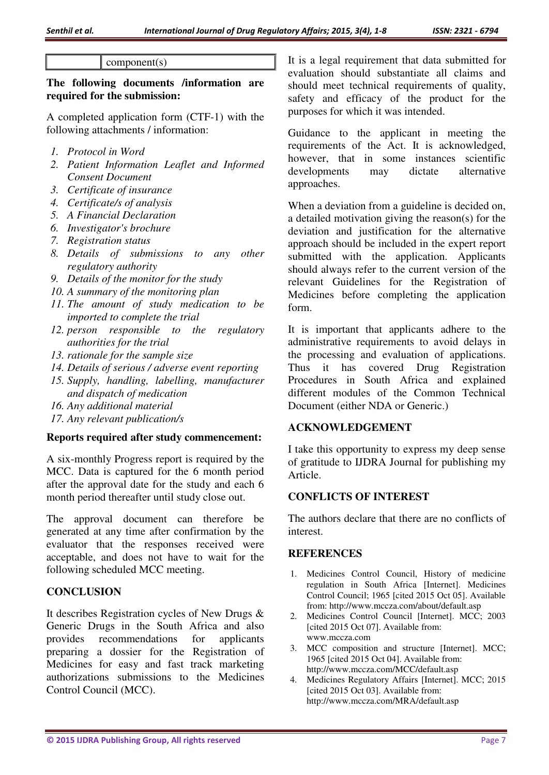#### component(s)

### **The following documents /information are required for the submission:**

A completed application form (CTF-1) with the following attachments / information:

- *1. Protocol in Word*
- *2. Patient Information Leaflet and Informed Consent Document*
- *3. Certificate of insurance*
- *4. Certificate/s of analysis*
- *5. A Financial Declaration*
- *6. Investigator's brochure*
- *7. Registration status*
- *8. Details of submissions to any other regulatory authority*
- *9. Details of the monitor for the study*
- *10. A summary of the monitoring plan*
- *11. The amount of study medication to be imported to complete the trial*
- *12. person responsible to the regulatory authorities for the trial*
- *13. rationale for the sample size*
- *14. Details of serious / adverse event reporting*
- *15. Supply, handling, labelling, manufacturer and dispatch of medication*
- *16. Any additional material*
- *17. Any relevant publication/s*

#### **Reports required after study commencement:**

A six-monthly Progress report is required by the MCC. Data is captured for the 6 month period after the approval date for the study and each 6 month period thereafter until study close out.

The approval document can therefore be generated at any time after confirmation by the evaluator that the responses received were acceptable, and does not have to wait for the following scheduled MCC meeting.

### **CONCLUSION**

It describes Registration cycles of New Drugs & Generic Drugs in the South Africa and also provides recommendations for applicants preparing a dossier for the Registration of Medicines for easy and fast track marketing authorizations submissions to the Medicines Control Council (MCC).

It is a legal requirement that data submitted for evaluation should substantiate all claims and should meet technical requirements of quality, safety and efficacy of the product for the purposes for which it was intended.

Guidance to the applicant in meeting the requirements of the Act. It is acknowledged, however, that in some instances scientific developments may dictate alternative approaches.

When a deviation from a guideline is decided on, a detailed motivation giving the reason(s) for the deviation and justification for the alternative approach should be included in the expert report submitted with the application. Applicants should always refer to the current version of the relevant Guidelines for the Registration of Medicines before completing the application form.

It is important that applicants adhere to the administrative requirements to avoid delays in the processing and evaluation of applications. Thus it has covered Drug Registration Procedures in South Africa and explained different modules of the Common Technical Document (either NDA or Generic.)

### **ACKNOWLEDGEMENT**

I take this opportunity to express my deep sense of gratitude to IJDRA Journal for publishing my Article.

### **CONFLICTS OF INTEREST**

The authors declare that there are no conflicts of interest.

#### **REFERENCES**

- 1. Medicines Control Council, History of medicine regulation in South Africa [Internet]. Medicines Control Council; 1965 [cited 2015 Oct 05]. Available from: http://www.mccza.com/about/default.asp
- 2. Medicines Control Council [Internet]. MCC; 2003 [cited 2015 Oct 07]. Available from: [www.mccza.com](http://www.mccza.com/)
- 3. MCC composition and structure [Internet]. MCC; 1965 [cited 2015 Oct 04]. Available from: http://www.mccza.com/MCC/default.asp
- 4. Medicines Regulatory Affairs [Internet]. MCC; 2015 [cited 2015 Oct 03]. Available from: http://www.mccza.com/MRA/default.asp